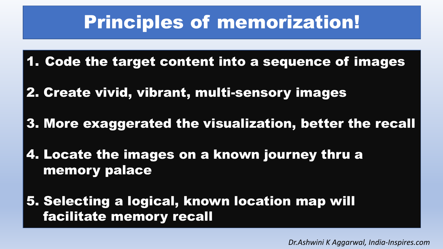### Principles of memorization!

- 1. Code the target content into a sequence of images
- 2. Create vivid, vibrant, multi-sensory images
- 3. More exaggerated the visualization, better the recall
- 4. Locate the images on a known journey thru a memory palace
- 5. Selecting a logical, known location map will facilitate memory recall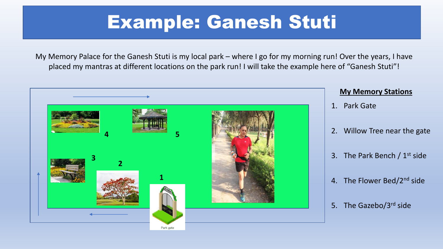### Example: Ganesh Stuti

My Memory Palace for the Ganesh Stuti is my local park – where I go for my morning run! Over the years, I have placed my mantras at different locations on the park run! I will take the example here of "Ganesh Stuti"!

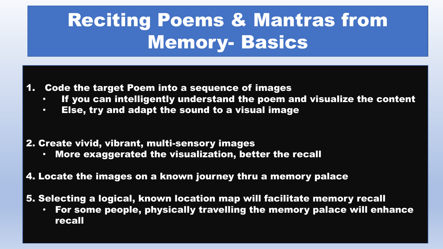# Reciting Poems & Mantras from Memory- Basics

#### 1. Code the target Poem into a sequence of images

- If you can intelligently understand the poem and visualize the content
- Else, try and adapt the sound to a visual image

#### 2. Create vivid, vibrant, multi-sensory images

• More exaggerated the visualization, better the recall

#### 4. Locate the images on a known journey thru a memory palace

5. Selecting a logical, known location map will facilitate memory recall

• For some people, physically travelling the memory palace will enhance recall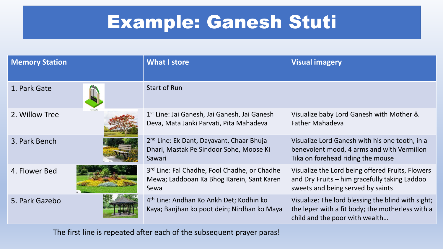## Example: Ganesh Stuti

| <b>Memory Station</b> | <b>What I store</b>                                                                                       | <b>Visual imagery</b>                                                                                                                    |
|-----------------------|-----------------------------------------------------------------------------------------------------------|------------------------------------------------------------------------------------------------------------------------------------------|
| 1. Park Gate          | <b>Start of Run</b>                                                                                       |                                                                                                                                          |
| 2. Willow Tree        | 1 <sup>st</sup> Line: Jai Ganesh, Jai Ganesh, Jai Ganesh<br>Deva, Mata Janki Parvati, Pita Mahadeva       | Visualize baby Lord Ganesh with Mother &<br><b>Father Mahadeva</b>                                                                       |
| 3. Park Bench         | 2 <sup>nd</sup> Line: Ek Dant, Dayavant, Chaar Bhuja<br>Dhari, Mastak Pe Sindoor Sohe, Moose Ki<br>Sawari | Visualize Lord Ganesh with his one tooth, in a<br>benevolent mood, 4 arms and with Vermillon<br>Tika on forehead riding the mouse        |
| 4. Flower Bed         | 3rd Line: Fal Chadhe, Fool Chadhe, or Chadhe<br>Mewa; Laddooan Ka Bhog Karein, Sant Karen<br>Sewa         | Visualize the Lord being offered Fruits, Flowers<br>and Dry Fruits – him gracefully taking Laddoo<br>sweets and being served by saints   |
| 5. Park Gazebo        | 4 <sup>th</sup> Line: Andhan Ko Ankh Det; Kodhin ko<br>Kaya; Banjhan ko poot dein; Nirdhan ko Maya        | Visualize: The lord blessing the blind with sight;<br>the leper with a fit body; the motherless with a<br>child and the poor with wealth |

The first line is repeated after each of the subsequent prayer paras!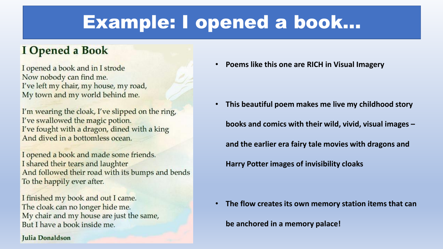### Example: I opened a book…

#### **I** Opened a Book

I opened a book and in I strode Now nobody can find me. I've left my chair, my house, my road, My town and my world behind me.

I'm wearing the cloak, I've slipped on the ring, I've swallowed the magic potion. I've fought with a dragon, dined with a king And dived in a bottomless ocean.

I opened a book and made some friends. I shared their tears and laughter And followed their road with its bumps and bends To the happily ever after.

I finished my book and out I came. The cloak can no longer hide me. My chair and my house are just the same, But I have a book inside me.

#### Julia Donaldson

• **Poems like this one are RICH in Visual Imagery**

• **This beautiful poem makes me live my childhood story books and comics with their wild, vivid, visual images – and the earlier era fairy tale movies with dragons and Harry Potter images of invisibility cloaks**

• **The flow creates its own memory station items that can** 

**be anchored in a memory palace!**